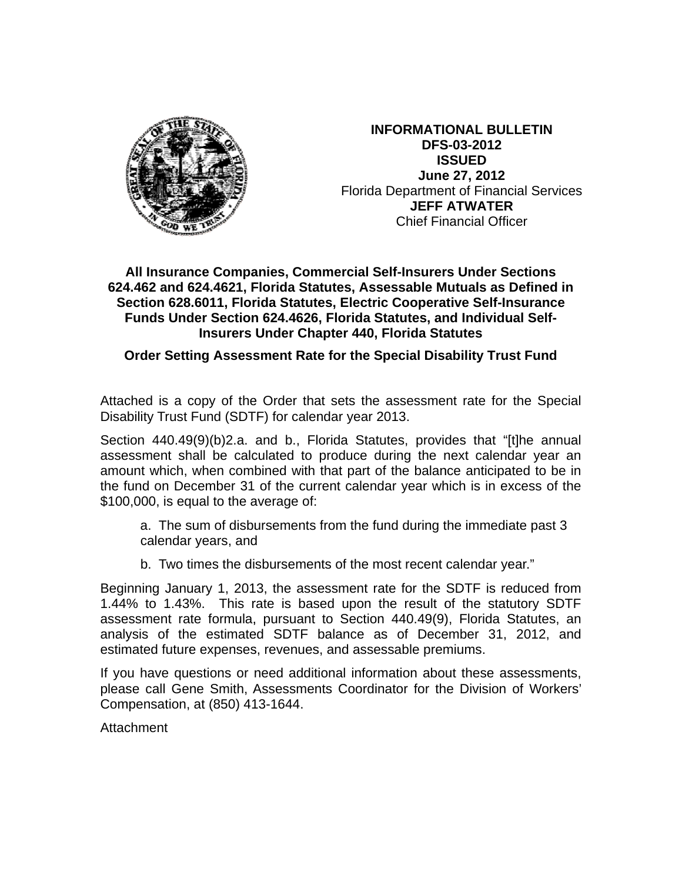

**INFORMATIONAL BULLETIN DFS-03-2012 ISSUED** June 27, 2012 **Florida Department of Financial Services JEFF ATWATER Chief Financial Officer** 

## All Insurance Companies, Commercial Self-Insurers Under Sections 624.462 and 624.4621, Florida Statutes, Assessable Mutuals as Defined in Section 628.6011, Florida Statutes, Electric Cooperative Self-Insurance Funds Under Section 624.4626, Florida Statutes, and Individual Self-**Insurers Under Chapter 440, Florida Statutes**

## Order Setting Assessment Rate for the Special Disability Trust Fund

Attached is a copy of the Order that sets the assessment rate for the Special Disability Trust Fund (SDTF) for calendar year 2013.

Section 440.49(9)(b)2.a. and b., Florida Statutes, provides that "[t]he annual assessment shall be calculated to produce during the next calendar year an amount which, when combined with that part of the balance anticipated to be in the fund on December 31 of the current calendar year which is in excess of the \$100,000, is equal to the average of:

a. The sum of disbursements from the fund during the immediate past 3 calendar years, and

b. Two times the disbursements of the most recent calendar year."

Beginning January 1, 2013, the assessment rate for the SDTF is reduced from 1.44% to 1.43%. This rate is based upon the result of the statutory SDTF assessment rate formula, pursuant to Section 440.49(9), Florida Statutes, an analysis of the estimated SDTF balance as of December 31, 2012, and estimated future expenses, revenues, and assessable premiums.

If you have questions or need additional information about these assessments, please call Gene Smith, Assessments Coordinator for the Division of Workers' Compensation, at (850) 413-1644.

Attachment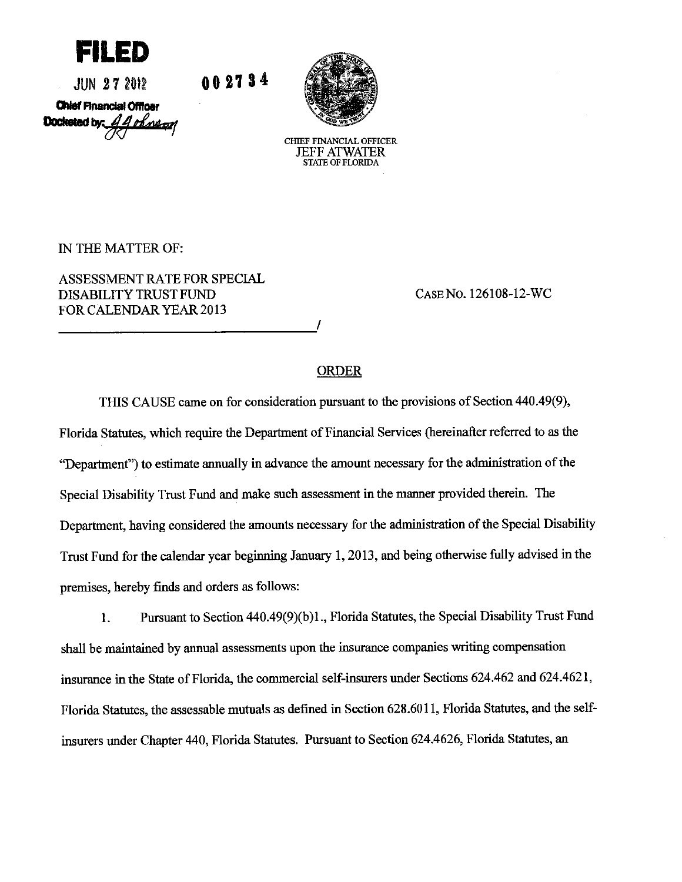

 $JUN$  27 2012

002734

**Chief Financial Officer** Doctested by All ohnsor



CHIEF FINANCIAL OFFICER **JEFF ATWATER STATE OF FLORIDA** 

IN THE MATTER OF:

ASSESSMENT RATE FOR SPECIAL DISABILITY TRUST FUND **FOR CALENDAR YEAR 2013** 

CASE No. 126108-12-WC

## **ORDER**

THIS CAUSE came on for consideration pursuant to the provisions of Section 440.49(9), Florida Statutes, which require the Department of Financial Services (hereinafter referred to as the "Department") to estimate annually in advance the amount necessary for the administration of the Special Disability Trust Fund and make such assessment in the manner provided therein. The Department, having considered the amounts necessary for the administration of the Special Disability Trust Fund for the calendar year beginning January 1, 2013, and being otherwise fully advised in the premises, hereby finds and orders as follows:

Pursuant to Section 440.49(9)(b)1., Florida Statutes, the Special Disability Trust Fund 1. shall be maintained by annual assessments upon the insurance companies writing compensation insurance in the State of Florida, the commercial self-insurers under Sections 624.462 and 624.4621, Florida Statutes, the assessable mutuals as defined in Section 628.6011, Florida Statutes, and the selfinsurers under Chapter 440, Florida Statutes. Pursuant to Section 624.4626, Florida Statutes, an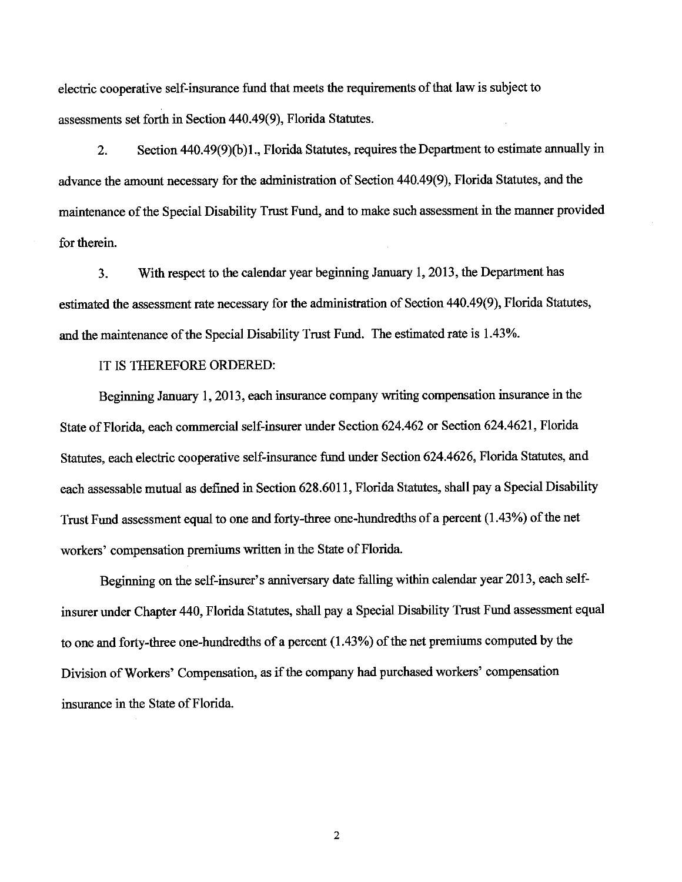electric cooperative self-insurance fund that meets the requirements of that law is subject to assessments set forth in Section 440.49(9), Florida Statutes.

Section 440.49(9)(b)1., Florida Statutes, requires the Department to estimate annually in  $\overline{2}$ . advance the amount necessary for the administration of Section 440.49(9), Florida Statutes, and the maintenance of the Special Disability Trust Fund, and to make such assessment in the manner provided for therein.

With respect to the calendar year beginning January 1, 2013, the Department has  $3<sub>1</sub>$ estimated the assessment rate necessary for the administration of Section 440.49(9), Florida Statutes, and the maintenance of the Special Disability Trust Fund. The estimated rate is 1.43%.

IT IS THEREFORE ORDERED:

Beginning January 1, 2013, each insurance company writing compensation insurance in the State of Florida, each commercial self-insurer under Section 624.462 or Section 624.4621, Florida Statutes, each electric cooperative self-insurance fund under Section 624.4626, Florida Statutes, and each assessable mutual as defined in Section 628.6011, Florida Statutes, shall pay a Special Disability Trust Fund assessment equal to one and forty-three one-hundredths of a percent (1.43%) of the net workers' compensation premiums written in the State of Florida.

Beginning on the self-insurer's anniversary date falling within calendar year 2013, each selfinsurer under Chapter 440, Florida Statutes, shall pay a Special Disability Trust Fund assessment equal to one and forty-three one-hundredths of a percent  $(1.43\%)$  of the net premiums computed by the Division of Workers' Compensation, as if the company had purchased workers' compensation insurance in the State of Florida.

 $\overline{2}$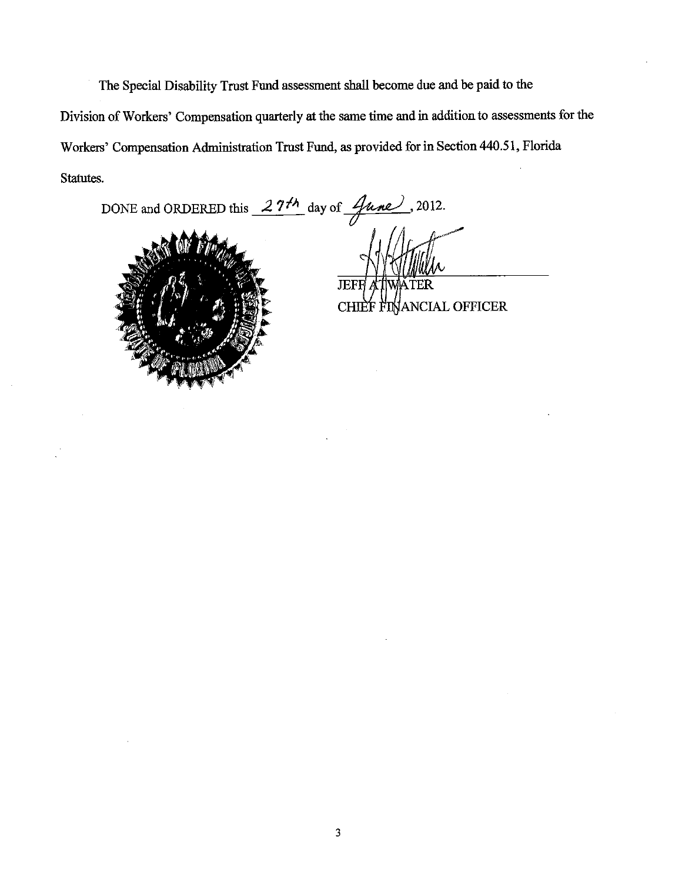The Special Disability Trust Fund assessment shall become due and be paid to the Division of Workers' Compensation quarterly at the same time and in addition to assessments for the Workers' Compensation Administration Trust Fund, as provided for in Section 440.51, Florida Statutes.

DONE and ORDERED this  $27<sup>th</sup>$  day of  $\frac{q_{\text{une}}}{q}$ , 2012.



**JEFF** 

CHIEF FINANCIAL OFFICER